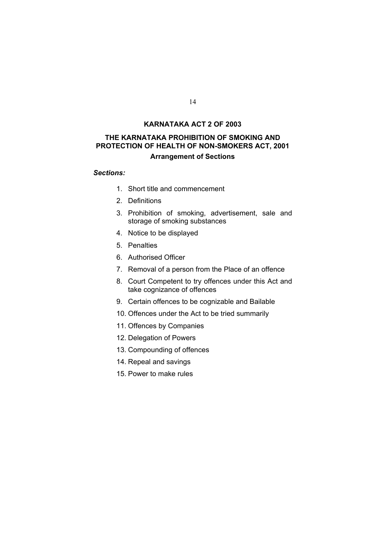## **KARNATAKA ACT 2 OF 2003**

# **THE KARNATAKA PROHIBITION OF SMOKING AND PROTECTION OF HEALTH OF NON-SMOKERS ACT, 2001**

## **Arrangement of Sections**

#### *Sections:*

- 1. Short title and commencement
- 2. Definitions
- 3. Prohibition of smoking, advertisement, sale and storage of smoking substances
- 4. Notice to be displayed
- 5. Penalties
- 6. Authorised Officer
- 7. Removal of a person from the Place of an offence
- 8. Court Competent to try offences under this Act and take cognizance of offences
- 9. Certain offences to be cognizable and Bailable
- 10. Offences under the Act to be tried summarily
- 11. Offences by Companies
- 12. Delegation of Powers
- 13. Compounding of offences
- 14. Repeal and savings
- 15. Power to make rules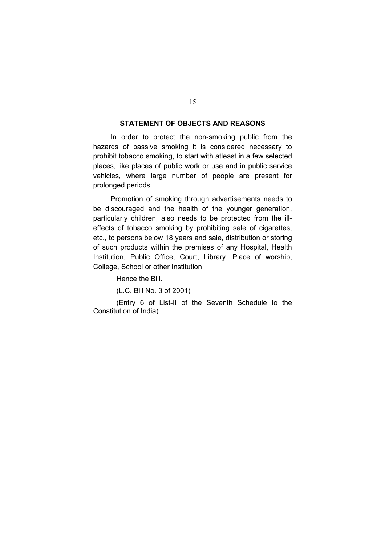### **STATEMENT OF OBJECTS AND REASONS**

 In order to protect the non-smoking public from the hazards of passive smoking it is considered necessary to prohibit tobacco smoking, to start with atleast in a few selected places, like places of public work or use and in public service vehicles, where large number of people are present for prolonged periods.

 Promotion of smoking through advertisements needs to be discouraged and the health of the younger generation, particularly children, also needs to be protected from the illeffects of tobacco smoking by prohibiting sale of cigarettes, etc., to persons below 18 years and sale, distribution or storing of such products within the premises of any Hospital, Health Institution, Public Office, Court, Library, Place of worship, College, School or other Institution.

Hence the Bill.

(L.C. Bill No. 3 of 2001)

 (Entry 6 of List-II of the Seventh Schedule to the Constitution of India)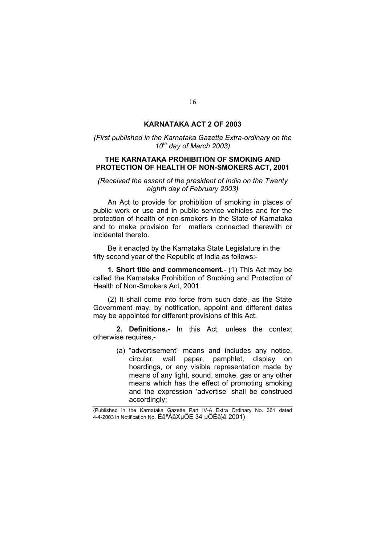### **KARNATAKA ACT 2 OF 2003**

#### *(First published in the Karnataka Gazette Extra-ordinary on the 10th day of March 2003)*

#### **THE KARNATAKA PROHIBITION OF SMOKING AND PROTECTION OF HEALTH OF NON-SMOKERS ACT, 2001**

*(Received the assent of the president of India on the Twenty eighth day of February 2003)* 

 An Act to provide for prohibition of smoking in places of public work or use and in public service vehicles and for the protection of health of non-smokers in the State of Karnataka and to make provision for matters connected therewith or incidental thereto.

 Be it enacted by the Karnataka State Legislature in the fifty second year of the Republic of India as follows:-

 **1. Short title and commencement**.- (1) This Act may be called the Karnataka Prohibition of Smoking and Protection of Health of Non-Smokers Act, 2001.

 (2) It shall come into force from such date, as the State Government may, by notification, appoint and different dates may be appointed for different provisions of this Act.

 **2. Definitions.-** In this Act, unless the context otherwise requires,-

> (a) "advertisement" means and includes any notice, circular, wall paper, pamphlet, display on hoardings, or any visible representation made by means of any light, sound, smoke, gas or any other means which has the effect of promoting smoking and the expression 'advertise' shall be construed accordingly;

(Published in the Karnataka Gazette Part IV-A Extra Ordinary No. 361 dated 4-4-2003 in Notification No. ÉâªÀâXµÖE 34 µÖÉâ}â 2001)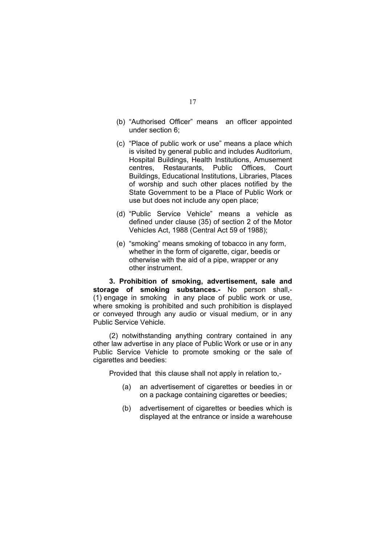- (b) "Authorised Officer" means an officer appointed under section 6;
- (c) "Place of public work or use" means a place which is visited by general public and includes Auditorium, Hospital Buildings, Health Institutions, Amusement centres, Restaurants, Public Offices, Court Buildings, Educational Institutions, Libraries, Places of worship and such other places notified by the State Government to be a Place of Public Work or use but does not include any open place;
- (d) "Public Service Vehicle" means a vehicle as defined under clause (35) of section 2 of the Motor Vehicles Act, 1988 (Central Act 59 of 1988);
- (e) "smoking" means smoking of tobacco in any form, whether in the form of cigarette, cigar, beedis or otherwise with the aid of a pipe, wrapper or any other instrument.

 **3. Prohibition of smoking, advertisement, sale and storage of smoking substances.-** No person shall,- (1) engage in smoking in any place of public work or use, where smoking is prohibited and such prohibition is displayed or conveyed through any audio or visual medium, or in any Public Service Vehicle.

 (2) notwithstanding anything contrary contained in any other law advertise in any place of Public Work or use or in any Public Service Vehicle to promote smoking or the sale of cigarettes and beedies:

Provided that this clause shall not apply in relation to,-

- (a) an advertisement of cigarettes or beedies in or on a package containing cigarettes or beedies;
- (b) advertisement of cigarettes or beedies which is displayed at the entrance or inside a warehouse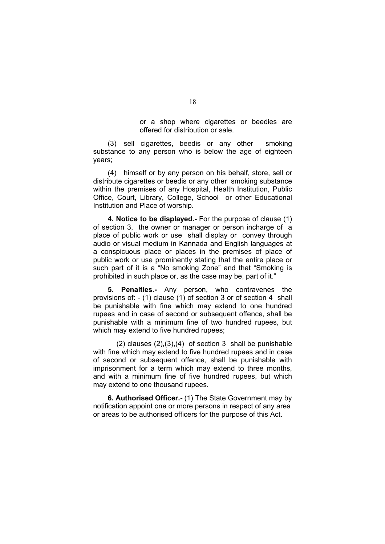or a shop where cigarettes or beedies are offered for distribution or sale.

 (3) sell cigarettes, beedis or any other smoking substance to any person who is below the age of eighteen years;

 (4) himself or by any person on his behalf, store, sell or distribute cigarettes or beedis or any other smoking substance within the premises of any Hospital, Health Institution, Public Office, Court, Library, College, School or other Educational Institution and Place of worship.

 **4. Notice to be displayed.-** For the purpose of clause (1) of section 3, the owner or manager or person incharge of a place of public work or use shall display or convey through audio or visual medium in Kannada and English languages at a conspicuous place or places in the premises of place of public work or use prominently stating that the entire place or such part of it is a "No smoking Zone" and that "Smoking is prohibited in such place or, as the case may be, part of it."

 **5. Penalties.-** Any person, who contravenes the provisions of: - (1) clause (1) of section 3 or of section 4 shall be punishable with fine which may extend to one hundred rupees and in case of second or subsequent offence, shall be punishable with a minimum fine of two hundred rupees, but which may extend to five hundred rupees;

 $(2)$  clauses  $(2)$ ,  $(3)$ ,  $(4)$  of section 3 shall be punishable with fine which may extend to five hundred rupees and in case of second or subsequent offence, shall be punishable with imprisonment for a term which may extend to three months, and with a minimum fine of five hundred rupees, but which may extend to one thousand rupees.

 **6. Authorised Officer.-** (1) The State Government may by notification appoint one or more persons in respect of any area or areas to be authorised officers for the purpose of this Act.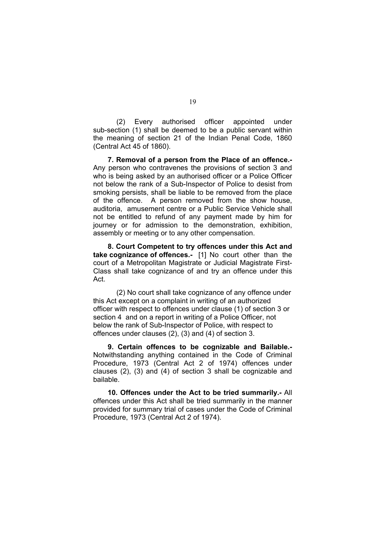(2) Every authorised officer appointed under sub-section (1) shall be deemed to be a public servant within the meaning of section 21 of the Indian Penal Code, 1860 (Central Act 45 of 1860).

 **7. Removal of a person from the Place of an offence.-**  Any person who contravenes the provisions of section 3 and who is being asked by an authorised officer or a Police Officer not below the rank of a Sub-Inspector of Police to desist from smoking persists, shall be liable to be removed from the place of the offence. A person removed from the show house, auditoria, amusement centre or a Public Service Vehicle shall not be entitled to refund of any payment made by him for journey or for admission to the demonstration, exhibition, assembly or meeting or to any other compensation.

 **8. Court Competent to try offences under this Act and take cognizance of offences.-** [1] No court other than the court of a Metropolitan Magistrate or Judicial Magistrate First-Class shall take cognizance of and try an offence under this Act.

 (2) No court shall take cognizance of any offence under this Act except on a complaint in writing of an authorized officer with respect to offences under clause (1) of section 3 or section 4 and on a report in writing of a Police Officer, not below the rank of Sub-Inspector of Police, with respect to offences under clauses (2), (3) and (4) of section 3.

 **9. Certain offences to be cognizable and Bailable.-**  Notwithstanding anything contained in the Code of Criminal Procedure, 1973 (Central Act 2 of 1974) offences under clauses (2), (3) and (4) of section 3 shall be cognizable and bailable.

 **10. Offences under the Act to be tried summarily.-** All offences under this Act shall be tried summarily in the manner provided for summary trial of cases under the Code of Criminal Procedure, 1973 (Central Act 2 of 1974).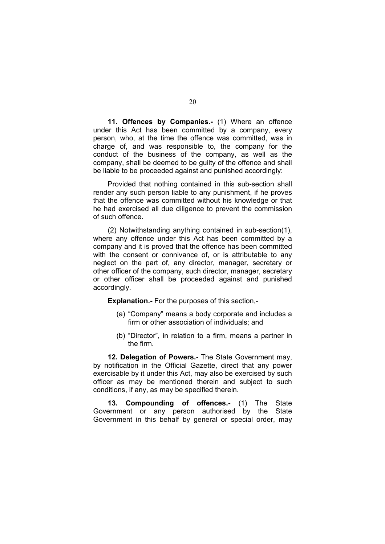**11. Offences by Companies.-** (1) Where an offence under this Act has been committed by a company, every person, who, at the time the offence was committed, was in charge of, and was responsible to, the company for the conduct of the business of the company, as well as the company, shall be deemed to be guilty of the offence and shall be liable to be proceeded against and punished accordingly:

 Provided that nothing contained in this sub-section shall render any such person liable to any punishment, if he proves that the offence was committed without his knowledge or that he had exercised all due diligence to prevent the commission of such offence.

 (2) Notwithstanding anything contained in sub-section(1), where any offence under this Act has been committed by a company and it is proved that the offence has been committed with the consent or connivance of, or is attributable to any neglect on the part of, any director, manager, secretary or other officer of the company, such director, manager, secretary or other officer shall be proceeded against and punished accordingly.

 **Explanation.-** For the purposes of this section,-

- (a) "Company" means a body corporate and includes a firm or other association of individuals; and
- (b) "Director", in relation to a firm, means a partner in the firm.

 **12. Delegation of Powers.-** The State Government may, by notification in the Official Gazette, direct that any power exercisable by it under this Act, may also be exercised by such officer as may be mentioned therein and subject to such conditions, if any, as may be specified therein.

 **13. Compounding of offences.-** (1) The State Government or any person authorised by the State Government in this behalf by general or special order, may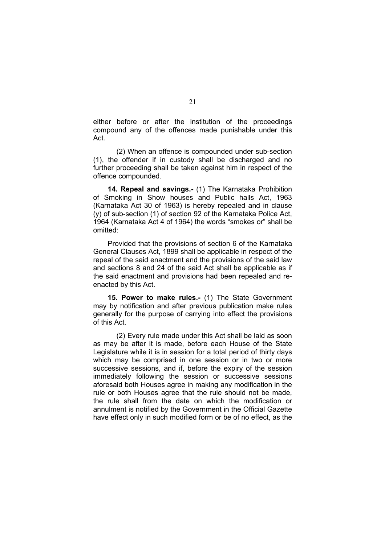either before or after the institution of the proceedings compound any of the offences made punishable under this Act.

 (2) When an offence is compounded under sub-section (1), the offender if in custody shall be discharged and no further proceeding shall be taken against him in respect of the offence compounded.

 **14. Repeal and savings.-** (1) The Karnataka Prohibition of Smoking in Show houses and Public halls Act, 1963 (Karnataka Act 30 of 1963) is hereby repealed and in clause (y) of sub-section (1) of section 92 of the Karnataka Police Act, 1964 (Karnataka Act 4 of 1964) the words "smokes or" shall be omitted:

 Provided that the provisions of section 6 of the Karnataka General Clauses Act, 1899 shall be applicable in respect of the repeal of the said enactment and the provisions of the said law and sections 8 and 24 of the said Act shall be applicable as if the said enactment and provisions had been repealed and reenacted by this Act.

**15. Power to make rules.-** (1) The State Government may by notification and after previous publication make rules generally for the purpose of carrying into effect the provisions of this Act.

 (2) Every rule made under this Act shall be laid as soon as may be after it is made, before each House of the State Legislature while it is in session for a total period of thirty days which may be comprised in one session or in two or more successive sessions, and if, before the expiry of the session immediately following the session or successive sessions aforesaid both Houses agree in making any modification in the rule or both Houses agree that the rule should not be made, the rule shall from the date on which the modification or annulment is notified by the Government in the Official Gazette have effect only in such modified form or be of no effect, as the